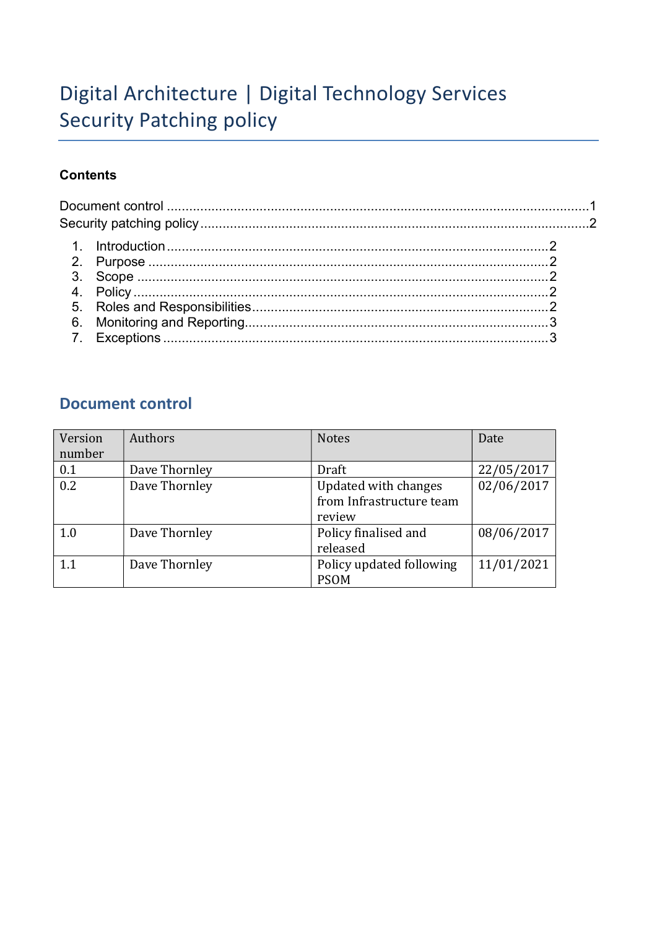# Digital Architecture | Digital Technology Services Security Patching policy

### **Contents**

## Document control

| Version | Authors       | <b>Notes</b>             | Date       |
|---------|---------------|--------------------------|------------|
| number  |               |                          |            |
| 0.1     | Dave Thornley | Draft                    | 22/05/2017 |
| 0.2     | Dave Thornley | Updated with changes     | 02/06/2017 |
|         |               | from Infrastructure team |            |
|         |               | review                   |            |
| 1.0     | Dave Thornley | Policy finalised and     | 08/06/2017 |
|         |               | released                 |            |
| 1.1     | Dave Thornley | Policy updated following | 11/01/2021 |
|         |               | <b>PSOM</b>              |            |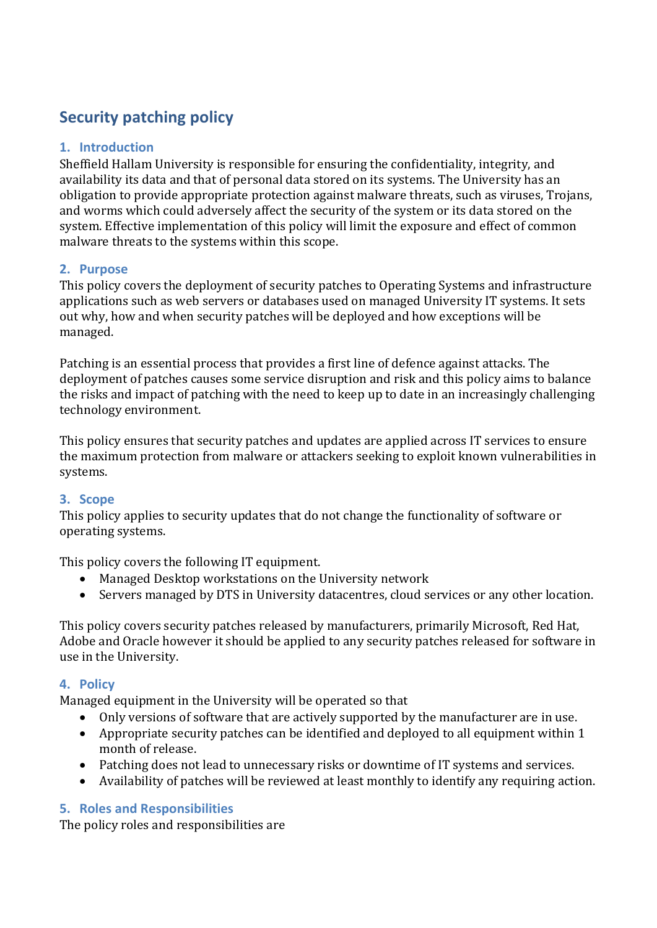## Security patching policy

### 1. Introduction

Sheffield Hallam University is responsible for ensuring the confidentiality, integrity, and availability its data and that of personal data stored on its systems. The University has an obligation to provide appropriate protection against malware threats, such as viruses, Trojans, and worms which could adversely affect the security of the system or its data stored on the system. Effective implementation of this policy will limit the exposure and effect of common malware threats to the systems within this scope.

#### 2. Purpose

This policy covers the deployment of security patches to Operating Systems and infrastructure applications such as web servers or databases used on managed University IT systems. It sets out why, how and when security patches will be deployed and how exceptions will be managed.

Patching is an essential process that provides a first line of defence against attacks. The deployment of patches causes some service disruption and risk and this policy aims to balance the risks and impact of patching with the need to keep up to date in an increasingly challenging technology environment.

This policy ensures that security patches and updates are applied across IT services to ensure the maximum protection from malware or attackers seeking to exploit known vulnerabilities in systems.

### 3. Scope

This policy applies to security updates that do not change the functionality of software or operating systems.

This policy covers the following IT equipment.

- Managed Desktop workstations on the University network
- Servers managed by DTS in University datacentres, cloud services or any other location.

This policy covers security patches released by manufacturers, primarily Microsoft, Red Hat, Adobe and Oracle however it should be applied to any security patches released for software in use in the University.

#### 4. Policy

Managed equipment in the University will be operated so that

- Only versions of software that are actively supported by the manufacturer are in use.
- Appropriate security patches can be identified and deployed to all equipment within 1 month of release.
- Patching does not lead to unnecessary risks or downtime of IT systems and services.
- Availability of patches will be reviewed at least monthly to identify any requiring action.

### 5. Roles and Responsibilities

The policy roles and responsibilities are